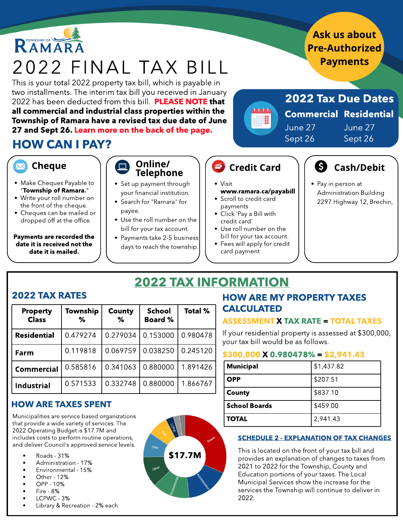

Payments are recorded the date it is received not the date it is mailed.

- Use the roll number on the bill for your tax account.
- Payments take 2-5 business days to reach the township.
- credit card' • Use roll number on the
- bill for your tax account. • Fees will apply for credit
- card payment

CALCULATED

# 2022 TAX INFORMATION

### 2022 TAX RATES

| <b>Property</b><br><b>Class</b> | Township<br>℅ | <b>County</b><br>℅ | <b>School</b><br><b>Board %</b> | <b>Total %</b> |
|---------------------------------|---------------|--------------------|---------------------------------|----------------|
| <b>Residential</b>              | 0.479274      | 0.279034           | 0.153000                        | 0.980478       |
| Farm                            | 0.119818      | 0.069759           | 0.038250                        | 0.245120       |
| <b>Commercial</b>               | 0.585816      | 0.341063           | 0.880000                        | 1.891426       |
| <b>Industrial</b>               | 0.571533      | 0.332748           | 0.880000                        | 1.866767       |

### HOW ARE TAXES SPENT

Municipalities are service based organizations that provide a wide variety of services. The 2022 Operating Budget is \$17.7M and includes costs to perform routine operations, and deliver Council's approved service levels.

- Roads 31%
- Administration 17%
- Environmental 15%
- Other 12%
- OPP 10%
- Fire 8%
- LCPWC 3%
- Library & Recreation 2% each



**TOTAL** 2,941.43

HOW ARE MY PROPERTY TAXES

If your residential property is assessed at \$300,000,

ASSESSMENT X TAX RATE = TOTAL TAXES

#### SCHEDULE 2 - EXPLANATION OF TAX CHANGES

This is located on the front of your tax bill and provides an explanation of changes to taxes from 2021 to 2022 for the Township, County and Education portions of your taxes. The Local Municipal Services show the increase for the services the Township will continue to deliver in 2022.